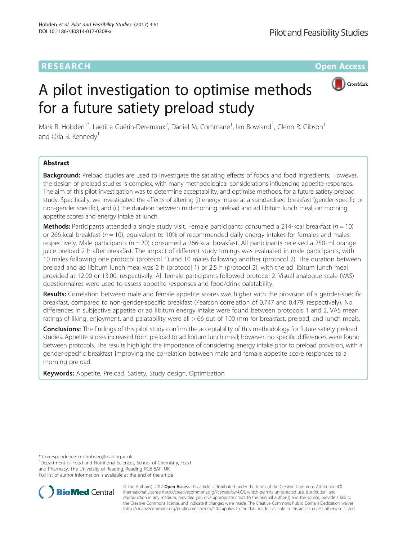## CrossMark



# A pilot investigation to optimise methods for a future satiety preload study

Mark R. Hobden<sup>1\*</sup>, Laetitia Guérin-Deremaux<sup>2</sup>, Daniel M. Commane<sup>1</sup>, Ian Rowland<sup>1</sup>, Glenn R. Gibson<sup>1</sup> and Orla B. Kennedy<sup>1</sup>

## Abstract

Background: Preload studies are used to investigate the satiating effects of foods and food ingredients. However, the design of preload studies is complex, with many methodological considerations influencing appetite responses. The aim of this pilot investigation was to determine acceptability, and optimise methods, for a future satiety preload study. Specifically, we investigated the effects of altering (i) energy intake at a standardised breakfast (gender-specific or non-gender specific), and (ii) the duration between mid-morning preload and ad libitum lunch meal, on morning appetite scores and energy intake at lunch.

**Methods:** Participants attended a single study visit. Female participants consumed a 214-kcal breakfast ( $n = 10$ ) or 266-kcal breakfast ( $n = 10$ ), equivalent to 10% of recommended daily energy intakes for females and males, respectively. Male participants ( $n = 20$ ) consumed a 266-kcal breakfast. All participants received a 250-ml orange juice preload 2 h after breakfast. The impact of different study timings was evaluated in male participants, with 10 males following one protocol (protocol 1) and 10 males following another (protocol 2). The duration between preload and ad libitum lunch meal was 2 h (protocol 1) or 2.5 h (protocol 2), with the ad libitum lunch meal provided at 12.00 or 13.00, respectively. All female participants followed protocol 2. Visual analogue scale (VAS) questionnaires were used to assess appetite responses and food/drink palatability.

Results: Correlation between male and female appetite scores was higher with the provision of a gender-specific breakfast, compared to non-gender-specific breakfast (Pearson correlation of 0.747 and 0.479, respectively). No differences in subjective appetite or ad libitum energy intake were found between protocols 1 and 2. VAS mean ratings of liking, enjoyment, and palatability were all > 66 out of 100 mm for breakfast, preload, and lunch meals.

**Conclusions:** The findings of this pilot study confirm the acceptability of this methodology for future satiety preload studies. Appetite scores increased from preload to ad libitum lunch meal; however, no specific differences were found between protocols. The results highlight the importance of considering energy intake prior to preload provision, with a gender-specific breakfast improving the correlation between male and female appetite score responses to a morning preload.

Keywords: Appetite, Preload, Satiety, Study design, Optimisation

\* Correspondence: [m.r.hobden@reading.ac.uk](mailto:m.r.hobden@reading.ac.uk) <sup>1</sup>

<sup>1</sup>Department of Food and Nutritional Sciences, School of Chemistry, Food and Pharmacy, The University of Reading, Reading RG6 6AP, UK Full list of author information is available at the end of the article



© The Author(s). 2017 **Open Access** This article is distributed under the terms of the Creative Commons Attribution 4.0 International License [\(http://creativecommons.org/licenses/by/4.0/](http://creativecommons.org/licenses/by/4.0/)), which permits unrestricted use, distribution, and reproduction in any medium, provided you give appropriate credit to the original author(s) and the source, provide a link to the Creative Commons license, and indicate if changes were made. The Creative Commons Public Domain Dedication waiver [\(http://creativecommons.org/publicdomain/zero/1.0/](http://creativecommons.org/publicdomain/zero/1.0/)) applies to the data made available in this article, unless otherwise stated.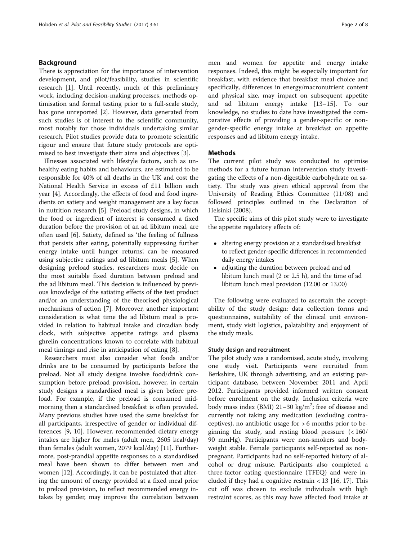## Background

There is appreciation for the importance of intervention development, and pilot/feasibility, studies in scientific research [\[1](#page-7-0)]. Until recently, much of this preliminary work, including decision-making processes, methods optimisation and formal testing prior to a full-scale study, has gone unreported [\[2](#page-7-0)]. However, data generated from such studies is of interest to the scientific community, most notably for those individuals undertaking similar research. Pilot studies provide data to promote scientific rigour and ensure that future study protocols are optimised to best investigate their aims and objectives [\[3](#page-7-0)].

Illnesses associated with lifestyle factors, such as unhealthy eating habits and behaviours, are estimated to be responsible for 40% of all deaths in the UK and cost the National Health Service in excess of £11 billion each year [[4\]](#page-7-0). Accordingly, the effects of food and food ingredients on satiety and weight management are a key focus in nutrition research [[5](#page-7-0)]. Preload study designs, in which the food or ingredient of interest is consumed a fixed duration before the provision of an ad libitum meal, are often used [[6\]](#page-7-0). Satiety, defined as 'the feeling of fullness that persists after eating, potentially suppressing further energy intake until hunger returns', can be measured using subjective ratings and ad libitum meals [[5\]](#page-7-0). When designing preload studies, researchers must decide on the most suitable fixed duration between preload and the ad libitum meal. This decision is influenced by previous knowledge of the satiating effects of the test product and/or an understanding of the theorised physiological mechanisms of action [[7\]](#page-7-0). Moreover, another important consideration is what time the ad libitum meal is provided in relation to habitual intake and circadian body clock, with subjective appetite ratings and plasma ghrelin concentrations known to correlate with habitual meal timings and rise in anticipation of eating [[8\]](#page-7-0).

Researchers must also consider what foods and/or drinks are to be consumed by participants before the preload. Not all study designs involve food/drink consumption before preload provision, however, in certain study designs a standardised meal is given before preload. For example, if the preload is consumed midmorning then a standardised breakfast is often provided. Many previous studies have used the same breakfast for all participants, irrespective of gender or individual differences [\[9](#page-7-0), [10\]](#page-7-0). However, recommended dietary energy intakes are higher for males (adult men, 2605 kcal/day) than females (adult women, 2079 kcal/day) [[11](#page-7-0)]. Furthermore, post-prandial appetite responses to a standardised meal have been shown to differ between men and women [[12\]](#page-7-0). Accordingly, it can be postulated that altering the amount of energy provided at a fixed meal prior to preload provision, to reflect recommended energy intakes by gender, may improve the correlation between men and women for appetite and energy intake responses. Indeed, this might be especially important for breakfast, with evidence that breakfast meal choice and specifically, differences in energy/macronutrient content and physical size, may impact on subsequent appetite and ad libitum energy intake [\[13](#page-7-0)–[15](#page-7-0)]. To our knowledge, no studies to date have investigated the comparative effects of providing a gender-specific or nongender-specific energy intake at breakfast on appetite responses and ad libitum energy intake.

### Methods

The current pilot study was conducted to optimise methods for a future human intervention study investigating the effects of a non-digestible carbohydrate on satiety. The study was given ethical approval from the University of Reading Ethics Committee (11/08) and followed principles outlined in the Declaration of Helsinki (2008).

The specific aims of this pilot study were to investigate the appetite regulatory effects of:

- altering energy provision at a standardised breakfast to reflect gender-specific differences in recommended daily energy intakes
- adjusting the duration between preload and ad libitum lunch meal (2 or 2.5 h), and the time of ad libitum lunch meal provision (12.00 or 13.00)

The following were evaluated to ascertain the acceptability of the study design: data collection forms and questionnaires, suitability of the clinical unit environment, study visit logistics, palatability and enjoyment of the study meals.

## Study design and recruitment

The pilot study was a randomised, acute study, involving one study visit. Participants were recruited from Berkshire, UK through advertising, and an existing participant database, between November 2011 and April 2012. Participants provided informed written consent before enrolment on the study. Inclusion criteria were body mass index (BMI)  $21-30$  kg/m<sup>2</sup>; free of disease and currently not taking any medication (excluding contraceptives), no antibiotic usage for > 6 months prior to beginning the study, and resting blood pressure (< 160/ 90 mmHg). Participants were non-smokers and bodyweight stable. Female participants self-reported as nonpregnant. Participants had no self-reported history of alcohol or drug misuse. Participants also completed a three-factor eating questionnaire (TFEQ) and were included if they had a cognitive restrain  $<$  13 [\[16, 17\]](#page-7-0). This cut off was chosen to exclude individuals with high restraint scores, as this may have affected food intake at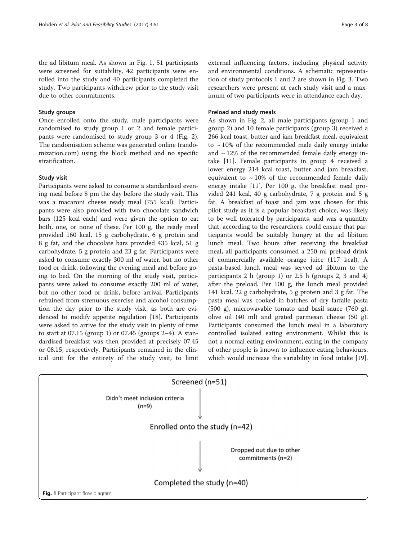the ad libitum meal. As shown in Fig. 1, 51 participants were screened for suitability, 42 participants were enrolled into the study and 40 participants completed the study. Two participants withdrew prior to the study visit due to other commitments.

## Study groups

Once enrolled onto the study, male participants were randomised to study group 1 or 2 and female participants were randomised to study group 3 or 4 (Fig. [2](#page-3-0)). The randomisation scheme was generated online (randomization.com) using the block method and no specific stratification.

### Study visit

Participants were asked to consume a standardised evening meal before 8 pm the day before the study visit. This was a macaroni cheese ready meal (755 kcal). Participants were also provided with two chocolate sandwich bars (125 kcal each) and were given the option to eat both, one, or none of these. Per 100 g, the ready meal provided 160 kcal, 15 g carbohydrate, 6 g protein and 8 g fat, and the chocolate bars provided 435 kcal, 51 g carbohydrate, 5 g protein and 23 g fat. Participants were asked to consume exactly 300 ml of water, but no other food or drink, following the evening meal and before going to bed. On the morning of the study visit, participants were asked to consume exactly 200 ml of water, but no other food or drink, before arrival. Participants refrained from strenuous exercise and alcohol consumption the day prior to the study visit, as both are evidenced to modify appetite regulation [\[18](#page-7-0)]. Participants were asked to arrive for the study visit in plenty of time to start at 07.15 (group 1) or 07.45 (groups 2–4). A standardised breakfast was then provided at precisely 07.45 or 08.15, respectively. Participants remained in the clinical unit for the entirety of the study visit, to limit external influencing factors, including physical activity and environmental conditions. A schematic representation of study protocols 1 and 2 are shown in Fig. [3.](#page-3-0) Two researchers were present at each study visit and a maximum of two participants were in attendance each day.

## Preload and study meals

As shown in Fig. [2](#page-3-0), all male participants (group 1 and group 2) and 10 female participants (group 3) received a 266 kcal toast, butter and jam breakfast meal, equivalent to  $\sim$  10% of the recommended male daily energy intake and  $\sim$  12% of the recommended female daily energy intake [[11](#page-7-0)]. Female participants in group 4 received a lower energy 214 kcal toast, butter and jam breakfast, equivalent to  $\sim 10\%$  of the recommended female daily energy intake [[11\]](#page-7-0). Per 100 g, the breakfast meal provided 241 kcal, 40 g carbohydrate, 7 g protein and 5 g fat. A breakfast of toast and jam was chosen for this pilot study as it is a popular breakfast choice, was likely to be well tolerated by participants, and was a quantity that, according to the researchers, could ensure that participants would be suitably hungry at the ad libitum lunch meal. Two hours after receiving the breakfast meal, all participants consumed a 250-ml preload drink of commercially available orange juice (117 kcal). A pasta-based lunch meal was served ad libitum to the participants 2 h (group 1) or 2.5 h (groups 2, 3 and 4) after the preload. Per 100 g, the lunch meal provided 141 kcal, 22 g carbohydrate, 5 g protein and 3 g fat. The pasta meal was cooked in batches of dry farfalle pasta (500 g), microwavable tomato and basil sauce (760 g), olive oil (40 ml) and grated parmesan cheese (50 g). Participants consumed the lunch meal in a laboratory controlled isolated eating environment. Whilst this is not a normal eating environment, eating in the company of other people is known to influence eating behaviours, which would increase the variability in food intake [\[19](#page-7-0)].

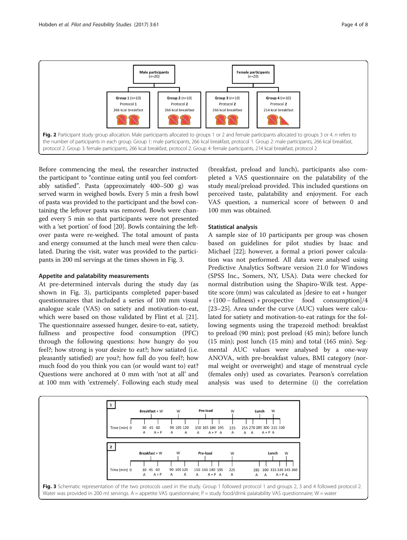<span id="page-3-0"></span>

Before commencing the meal, the researcher instructed the participant to "continue eating until you feel comfortably satisfied". Pasta (approximately 400–500 g) was served warm in weighed bowls. Every 5 min a fresh bowl of pasta was provided to the participant and the bowl containing the leftover pasta was removed. Bowls were changed every 5 min so that participants were not presented with a 'set portion' of food [\[20\]](#page-7-0). Bowls containing the leftover pasta were re-weighed. The total amount of pasta and energy consumed at the lunch meal were then calculated. During the visit, water was provided to the participants in 200 ml servings at the times shown in Fig. 3.

## Appetite and palatability measurements

At pre-determined intervals during the study day (as shown in Fig. 3), participants completed paper-based questionnaires that included a series of 100 mm visual analogue scale (VAS) on satiety and motivation-to-eat, which were based on those validated by Flint et al. [\[21](#page-7-0)]. The questionnaire assessed hunger, desire-to-eat, satiety, fullness and prospective food consumption (PFC) through the following questions: how hungry do you feel?; how strong is your desire to eat?; how satiated (i.e. pleasantly satisfied) are you?; how full do you feel?; how much food do you think you can (or would want to) eat? Questions were anchored at 0 mm with 'not at all' and at 100 mm with 'extremely'. Following each study meal (breakfast, preload and lunch), participants also completed a VAS questionnaire on the palatability of the study meal/preload provided. This included questions on perceived taste, palatability and enjoyment. For each VAS question, a numerical score of between 0 and 100 mm was obtained.

## Statistical analysis

A sample size of 10 participants per group was chosen based on guidelines for pilot studies by Isaac and Michael [[22](#page-7-0)]; however, a formal a priori power calculation was not performed. All data were analysed using Predictive Analytics Software version 21.0 for Windows (SPSS Inc., Somers, NY, USA). Data were checked for normal distribution using the Shapiro-Wilk test. Appetite score (mm) was calculated as [desire to eat + hunger + (100 − fullness) + prospective food consumption]/4 [[23](#page-7-0)–[25](#page-7-0)]. Area under the curve (AUC) values were calculated for satiety and motivation-to-eat ratings for the following segments using the trapezoid method: breakfast to preload (90 min); post preload (45 min); before lunch (15 min); post lunch (15 min) and total (165 min). Segmental AUC values were analysed by a one-way ANOVA, with pre-breakfast values, BMI category (normal weight or overweight) and stage of menstrual cycle (females only) used as covariates. Pearson's correlation analysis was used to determine (i) the correlation

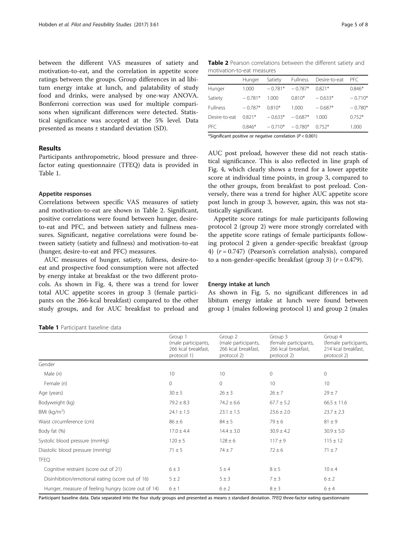between the different VAS measures of satiety and motivation-to-eat, and the correlation in appetite score ratings between the groups. Group differences in ad libitum energy intake at lunch, and palatability of study food and drinks, were analysed by one-way ANOVA. Bonferroni correction was used for multiple comparisons when significant differences were detected. Statistical significance was accepted at the 5% level. Data presented as means ± standard deviation (SD).

## Results

Participants anthropometric, blood pressure and threefactor eating questionnaire (TFEQ) data is provided in Table 1.

#### Appetite responses

Correlations between specific VAS measures of satiety and motivation-to-eat are shown in Table 2. Significant, positive correlations were found between hunger, desireto-eat and PFC, and between satiety and fullness measures. Significant, negative correlations were found between satiety (satiety and fullness) and motivation-to-eat (hunger, desire-to-eat and PFC) measures.

AUC measures of hunger, satiety, fullness, desire-toeat and prospective food consumption were not affected by energy intake at breakfast or the two different protocols. As shown in Fig. [4](#page-5-0), there was a trend for lower total AUC appetite scores in group 3 (female participants on the 266-kcal breakfast) compared to the other study groups, and for AUC breakfast to preload and

Table 1 Participant baseline data

| <b>Table 2</b> Pearson correlations between the different satiety and |  |  |  |
|-----------------------------------------------------------------------|--|--|--|
| motivation-to-eat measures                                            |  |  |  |

| Hunger    | Satiety   | <b>Fullness</b> | Desire-to-eat | PFC.      |  |  |  |  |  |
|-----------|-----------|-----------------|---------------|-----------|--|--|--|--|--|
| 1.000     | $-0.781*$ | $-0.787*$       | 0.821*        | $0.846*$  |  |  |  |  |  |
| $-0.781*$ | 1.000     | $0.810*$        | $-0.633*$     | $-0.710*$ |  |  |  |  |  |
| $-0.787*$ | $0.810*$  | 1.000           | $-0.687*$     | $-0.780*$ |  |  |  |  |  |
| $0.821*$  | $-0.633*$ | $-0.687*$       | 1.000         | $0.752*$  |  |  |  |  |  |
| $0.846*$  | $-0.710*$ | $-0.780*$       | $0.752*$      | 1.000     |  |  |  |  |  |
|           |           |                 |               |           |  |  |  |  |  |

\*Significant positive or negative correlation  $(P < 0.001)$ 

AUC post preload, however these did not reach statistical significance. This is also reflected in line graph of Fig. [4](#page-5-0), which clearly shows a trend for a lower appetite score at individual time points, in group 3, compared to the other groups, from breakfast to post preload. Conversely, there was a trend for higher AUC appetite score post lunch in group 3, however, again, this was not statistically significant.

Appetite score ratings for male participants following protocol 2 (group 2) were more strongly correlated with the appetite score ratings of female participants following protocol 2 given a gender-specific breakfast (group 4)  $(r = 0.747)$  (Pearson's correlation analysis), compared to a non-gender-specific breakfast (group 3)  $(r = 0.479)$ .

#### Energy intake at lunch

As shown in Fig. [5](#page-5-0), no significant differences in ad libitum energy intake at lunch were found between group 1 (males following protocol 1) and group 2 (males

|                                                     | Group 1<br>(male participants,<br>266 kcal breakfast,<br>protocol 1) | Group 2<br>(male participants,<br>266 kcal breakfast,<br>protocol 2) | Group 3<br>(female participants,<br>266 kcal breakfast,<br>protocol 2) | Group 4<br>(female participants,<br>214 kcal breakfast,<br>protocol 2) |
|-----------------------------------------------------|----------------------------------------------------------------------|----------------------------------------------------------------------|------------------------------------------------------------------------|------------------------------------------------------------------------|
| Gender                                              |                                                                      |                                                                      |                                                                        |                                                                        |
| Male $(n)$                                          | 10                                                                   | 10 <sup>°</sup>                                                      | $\mathbf{0}$                                                           | 0                                                                      |
| Female (n)                                          | 0                                                                    | $\mathbf 0$                                                          | 10                                                                     | 10                                                                     |
| Age (years)                                         | $30 \pm 5$                                                           | $26 \pm 3$                                                           | $26 \pm 7$                                                             | $29 \pm 7$                                                             |
| Bodyweight (kg)                                     | $79.2 \pm 8.3$                                                       | $74.2 \pm 6.6$                                                       | $67.7 \pm 5.2$                                                         | $66.5 \pm 11.6$                                                        |
| BMI ( $kg/m2$ )                                     | $24.1 \pm 1.5$                                                       | $23.1 \pm 1.5$                                                       | $23.6 \pm 2.0$                                                         | $23.7 \pm 2.3$                                                         |
| Waist circumference (cm)                            | $86 \pm 6$                                                           | $84 \pm 5$                                                           | $79 \pm 6$                                                             | $81 \pm 9$                                                             |
| Body fat (%)                                        | $17.0 \pm 4.4$                                                       | $14.4 \pm 3.0$                                                       | $30.9 \pm 4.2$                                                         | $30.9 \pm 5.0$                                                         |
| Systolic blood pressure (mmHg)                      | $120 \pm 5$                                                          | $128 \pm 6$                                                          | $117 \pm 9$                                                            | $115 \pm 12$                                                           |
| Diastolic blood pressure (mmHg)                     | $71 \pm 5$                                                           | $74 + 7$                                                             | $72 \pm 6$                                                             | $71 \pm 7$                                                             |
| <b>TFEQ</b>                                         |                                                                      |                                                                      |                                                                        |                                                                        |
| Cognitive restraint (score out of 21)               | $6 \pm 3$                                                            | 5±4                                                                  | $8 \pm 5$                                                              | $10 \pm 4$                                                             |
| Disinhibition/emotional eating (score out of 16)    | $5 \pm 2$                                                            | $5 \pm 3$                                                            | $7 \pm 3$                                                              | $6 \pm 2$                                                              |
| Hunger, measure of feeling hungry (score out of 14) | $6 \pm 1$                                                            | $6 \pm 2$                                                            | $8 \pm 3$                                                              | 6±4                                                                    |

Participant baseline data. Data separated into the four study groups and presented as means ± standard deviation. TFEQ three-factor eating questionnaire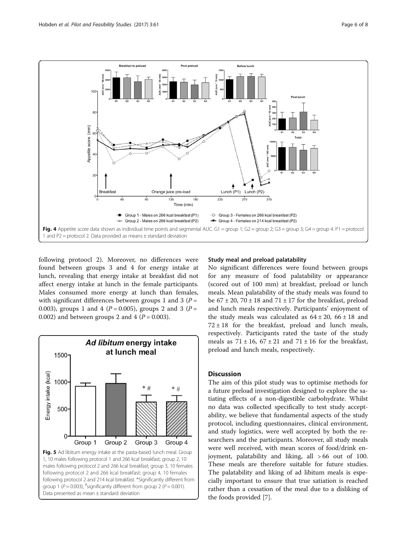<span id="page-5-0"></span>

following protoocl 2). Moreover, no differences were found between groups 3 and 4 for energy intake at lunch, revealing that energy intake at breakfast did not affect energy intake at lunch in the female participants. Males consumed more energy at lunch than females, with significant differences between groups 1 and 3 ( $P =$ 0.003), groups 1 and 4 ( $P = 0.005$ ), groups 2 and 3 ( $P =$ 0.002) and between groups 2 and 4 ( $P = 0.003$ ).



## Study meal and preload palatability

No significant differences were found between groups for any measure of food palatability or appearance (scored out of 100 mm) at breakfast, preload or lunch meals. Mean palatability of the study meals was found to be  $67 \pm 20$ ,  $70 \pm 18$  and  $71 \pm 17$  for the breakfast, preload and lunch meals respectively. Participants' enjoyment of the study meals was calculated as  $64 \pm 20$ ,  $66 \pm 18$  and  $72 \pm 18$  for the breakfast, preload and lunch meals, respectively. Participants rated the taste of the study meals as  $71 \pm 16$ ,  $67 \pm 21$  and  $71 \pm 16$  for the breakfast, preload and lunch meals, respectively.

## **Discussion**

The aim of this pilot study was to optimise methods for a future preload investigation designed to explore the satiating effects of a non-digestible carbohydrate. Whilst no data was collected specifically to test study acceptability, we believe that fundamental aspects of the study protocol, including questionnaires, clinical environment, and study logistics, were well accepted by both the researchers and the participants. Moreover, all study meals were well received, with mean scores of food/drink enjoyment, palatability and liking, all > 66 out of 100. These meals are therefore suitable for future studies. The palatability and liking of ad libitum meals is especially important to ensure that true satiation is reached rather than a cessation of the meal due to a disliking of the foods provided [[7](#page-7-0)].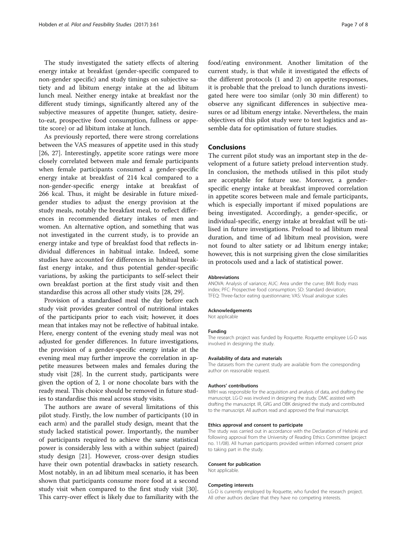The study investigated the satiety effects of altering energy intake at breakfast (gender-specific compared to non-gender specific) and study timings on subjective satiety and ad libitum energy intake at the ad libitum lunch meal. Neither energy intake at breakfast nor the different study timings, significantly altered any of the subjective measures of appetite (hunger, satiety, desireto-eat, prospective food consumption, fullness or appetite score) or ad libitum intake at lunch.

As previously reported, there were strong correlations between the VAS measures of appetite used in this study [[26, 27\]](#page-7-0). Interestingly, appetite score ratings were more closely correlated between male and female participants when female participants consumed a gender-specific energy intake at breakfast of 214 kcal compared to a non-gender-specific energy intake at breakfast of 266 kcal. Thus, it might be desirable in future mixedgender studies to adjust the energy provision at the study meals, notably the breakfast meal, to reflect differences in recommended dietary intakes of men and women. An alternative option, and something that was not investigated in the current study, is to provide an energy intake and type of breakfast food that reflects individual differences in habitual intake. Indeed, some studies have accounted for differences in habitual breakfast energy intake, and thus potential gender-specific variations, by asking the participants to self-select their own breakfast portion at the first study visit and then standardise this across all other study visits [[28, 29\]](#page-7-0).

Provision of a standardised meal the day before each study visit provides greater control of nutritional intakes of the participants prior to each visit; however, it does mean that intakes may not be reflective of habitual intake. Here, energy content of the evening study meal was not adjusted for gender differences. In future investigations, the provision of a gender-specific energy intake at the evening meal may further improve the correlation in appetite measures between males and females during the study visit [[28\]](#page-7-0). In the current study, participants were given the option of 2, 1 or none chocolate bars with the ready meal. This choice should be removed in future studies to standardise this meal across study visits.

The authors are aware of several limitations of this pilot study. Firstly, the low number of participants (10 in each arm) and the parallel study design, meant that the study lacked statistical power. Importantly, the number of participants required to achieve the same statistical power is considerably less with a within subject (paired) study design [[21\]](#page-7-0). However, cross-over design studies have their own potential drawbacks in satiety research. Most notably, in an ad libitum meal scenario, it has been shown that participants consume more food at a second study visit when compared to the first study visit [\[30](#page-7-0)]. This carry-over effect is likely due to familiarity with the food/eating environment. Another limitation of the current study, is that while it investigated the effects of the different protocols (1 and 2) on appetite responses, it is probable that the preload to lunch durations investigated here were too similar (only 30 min different) to observe any significant differences in subjective measures or ad libitum energy intake. Nevertheless, the main objectives of this pilot study were to test logistics and assemble data for optimisation of future studies.

#### Conclusions

The current pilot study was an important step in the development of a future satiety preload intervention study. In conclusion, the methods utilised in this pilot study are acceptable for future use. Moreover, a genderspecific energy intake at breakfast improved correlation in appetite scores between male and female participants, which is especially important if mixed populations are being investigated. Accordingly, a gender-specific, or individual-specific, energy intake at breakfast will be utilised in future investigations. Preload to ad libitum meal duration, and time of ad libitum meal provision, were not found to alter satiety or ad libitum energy intake; however, this is not surprising given the close similarities in protocols used and a lack of statistical power.

#### Abbreviations

ANOVA: Analysis of variance; AUC: Area under the curve; BMI: Body mass index; PFC: Prospective food consumption; SD: Standard deviation; TFEQ: Three-factor eating questionnaire; VAS: Visual analogue scales

#### Acknowledgements

Not applicable

#### Funding

The research project was funded by Roquette. Roquette employee LG-D was involved in designing the study.

#### Availability of data and materials

The datasets from the current study are available from the corresponding author on reasonable request.

#### Authors' contributions

MRH was responsible for the acquisition and analysis of data, and drafting the manuscript. LG-D was involved in designing the study. DMC assisted with drafting the manuscript. IR, GRG and OBK designed the study and contributed to the manuscript. All authors read and approved the final manuscript.

#### Ethics approval and consent to participate

The study was carried out in accordance with the Declaration of Helsinki and following approval from the University of Reading Ethics Committee (project no. 11/08). All human participants provided written informed consent prior to taking part in the study.

#### Consent for publication

Not applicable.

## Competing interests

LG-D is currently employed by Roquette, who funded the research project. All other authors declare that they have no competing interests.